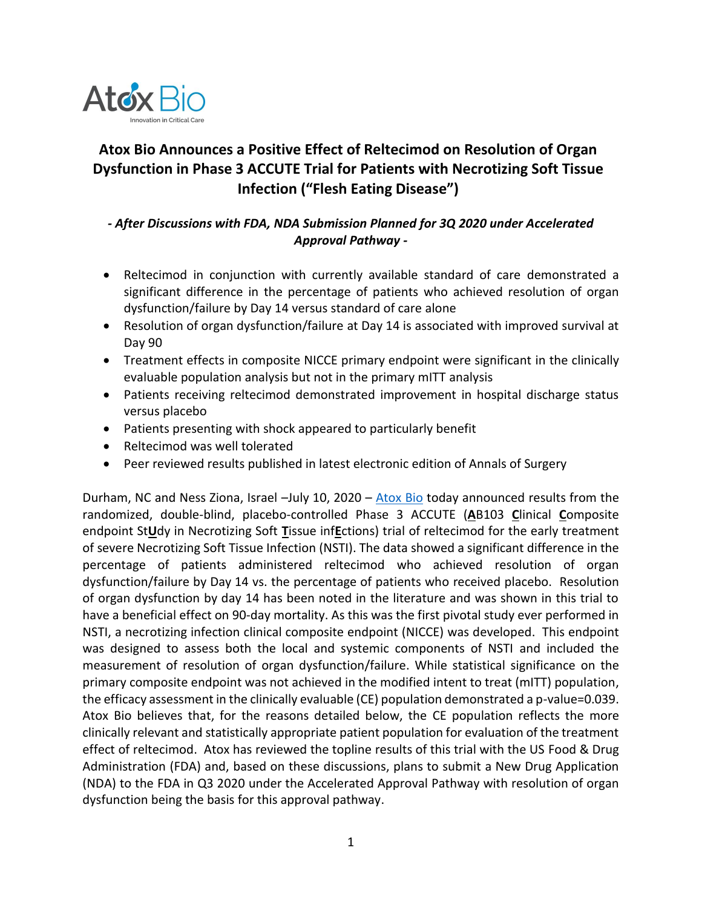

# **Atox Bio Announces a Positive Effect of Reltecimod on Resolution of Organ Dysfunction in Phase 3 ACCUTE Trial for Patients with Necrotizing Soft Tissue Infection ("Flesh Eating Disease")**

## *- After Discussions with FDA, NDA Submission Planned for 3Q 2020 under Accelerated Approval Pathway -*

- Reltecimod in conjunction with currently available standard of care demonstrated a significant difference in the percentage of patients who achieved resolution of organ dysfunction/failure by Day 14 versus standard of care alone
- Resolution of organ dysfunction/failure at Day 14 is associated with improved survival at Day 90
- Treatment effects in composite NICCE primary endpoint were significant in the clinically evaluable population analysis but not in the primary mITT analysis
- Patients receiving reltecimod demonstrated improvement in hospital discharge status versus placebo
- Patients presenting with shock appeared to particularly benefit
- Reltecimod was well tolerated
- Peer reviewed results published in latest electronic edition of Annals of Surgery

Durham, NC and Ness Ziona, Israel -July 10, 2020 - [Atox Bio](http://www.atoxbio.com/) today announced results from the randomized, double-blind, placebo-controlled Phase 3 ACCUTE (**A**B103 **C**linical **C**omposite endpoint St**U**dy in Necrotizing Soft **T**issue inf**E**ctions) trial of reltecimod for the early treatment of severe Necrotizing Soft Tissue Infection (NSTI). The data showed a significant difference in the percentage of patients administered reltecimod who achieved resolution of organ dysfunction/failure by Day 14 vs. the percentage of patients who received placebo. Resolution of organ dysfunction by day 14 has been noted in the literature and was shown in this trial to have a beneficial effect on 90-day mortality. As this was the first pivotal study ever performed in NSTI, a necrotizing infection clinical composite endpoint (NICCE) was developed. This endpoint was designed to assess both the local and systemic components of NSTI and included the measurement of resolution of organ dysfunction/failure. While statistical significance on the primary composite endpoint was not achieved in the modified intent to treat (mITT) population, the efficacy assessment in the clinically evaluable (CE) population demonstrated a p-value=0.039. Atox Bio believes that, for the reasons detailed below, the CE population reflects the more clinically relevant and statistically appropriate patient population for evaluation of the treatment effect of reltecimod. Atox has reviewed the topline results of this trial with the US Food & Drug Administration (FDA) and, based on these discussions, plans to submit a New Drug Application (NDA) to the FDA in Q3 2020 under the Accelerated Approval Pathway with resolution of organ dysfunction being the basis for this approval pathway.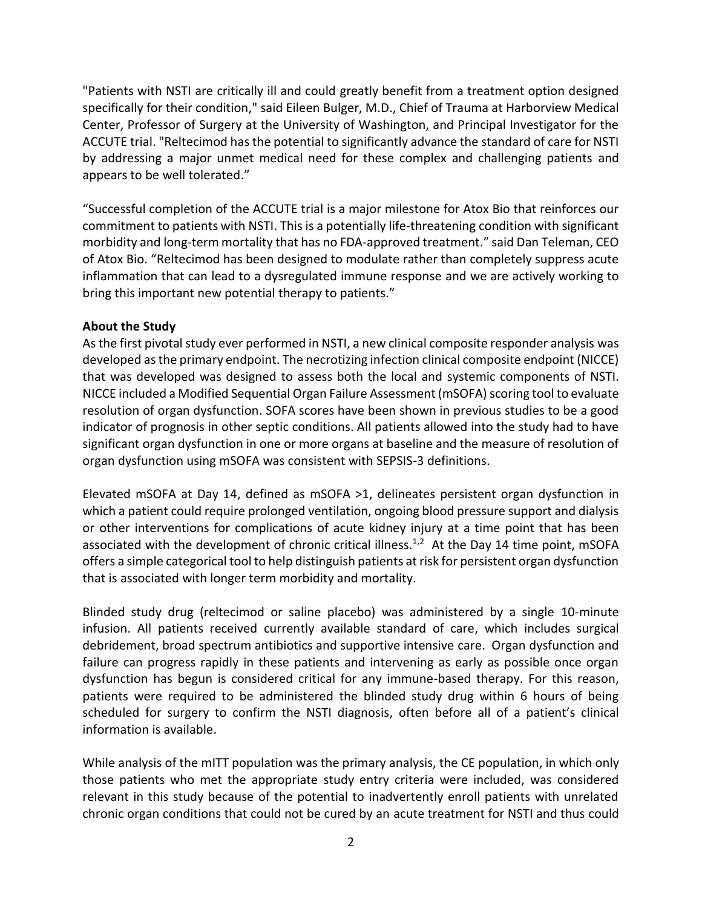"Patients with NSTI are critically ill and could greatly benefit from a treatment option designed specifically for their condition," said Eileen Bulger, M.D., Chief of Trauma at Harborview Medical Center, Professor of Surgery at the University of Washington, and Principal Investigator for the ACCUTE trial. "Reltecimod has the potential to significantly advance the standard of care for NSTI by addressing a major unmet medical need for these complex and challenging patients and appears to be well tolerated."

"Successful completion of the ACCUTE trial is a major milestone for Atox Bio that reinforces our commitment to patients with NSTI. This is a potentially life-threatening condition with significant morbidity and long-term mortality that has no FDA-approved treatment." said Dan Teleman, CEO of Atox Bio. "Reltecimod has been designed to modulate rather than completely suppress acute inflammation that can lead to a dysregulated immune response and we are actively working to bring this important new potential therapy to patients."

### **About the Study**

As the first pivotal study ever performed in NSTI, a new clinical composite responder analysis was developed as the primary endpoint. The necrotizing infection clinical composite endpoint (NICCE) that was developed was designed to assess both the local and systemic components of NSTI. NICCE included a Modified Sequential Organ Failure Assessment (mSOFA) scoring tool to evaluate resolution of organ dysfunction. SOFA scores have been shown in previous studies to be a good indicator of prognosis in other septic conditions. All patients allowed into the study had to have significant organ dysfunction in one or more organs at baseline and the measure of resolution of organ dysfunction using mSOFA was consistent with SEPSIS-3 definitions.

Elevated mSOFA at Day 14, defined as mSOFA >1, delineates persistent organ dysfunction in which a patient could require prolonged ventilation, ongoing blood pressure support and dialysis or other interventions for complications of acute kidney injury at a time point that has been associated with the development of chronic critical illness.<sup>1,2</sup> At the Day 14 time point, mSOFA offers a simple categorical tool to help distinguish patients at risk for persistent organ dysfunction that is associated with longer term morbidity and mortality.

Blinded study drug (reltecimod or saline placebo) was administered by a single 10-minute infusion. All patients received currently available standard of care, which includes surgical debridement, broad spectrum antibiotics and supportive intensive care. Organ dysfunction and failure can progress rapidly in these patients and intervening as early as possible once organ dysfunction has begun is considered critical for any immune-based therapy. For this reason, patients were required to be administered the blinded study drug within 6 hours of being scheduled for surgery to confirm the NSTI diagnosis, often before all of a patient's clinical information is available.

While analysis of the mITT population was the primary analysis, the CE population, in which only those patients who met the appropriate study entry criteria were included, was considered relevant in this study because of the potential to inadvertently enroll patients with unrelated chronic organ conditions that could not be cured by an acute treatment for NSTI and thus could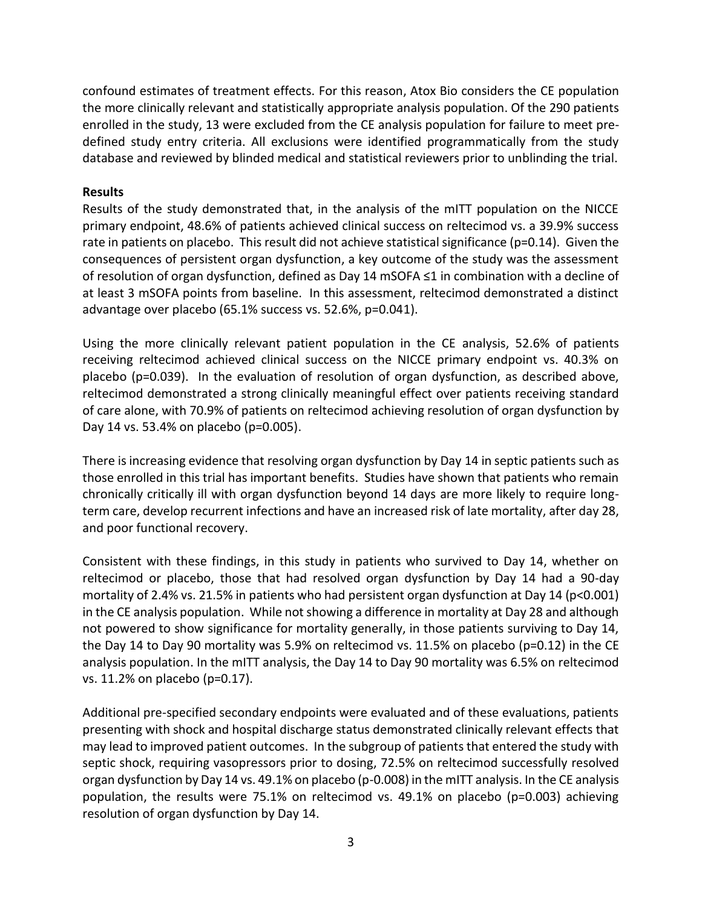confound estimates of treatment effects. For this reason, Atox Bio considers the CE population the more clinically relevant and statistically appropriate analysis population. Of the 290 patients enrolled in the study, 13 were excluded from the CE analysis population for failure to meet predefined study entry criteria. All exclusions were identified programmatically from the study database and reviewed by blinded medical and statistical reviewers prior to unblinding the trial.

### **Results**

Results of the study demonstrated that, in the analysis of the mITT population on the NICCE primary endpoint, 48.6% of patients achieved clinical success on reltecimod vs. a 39.9% success rate in patients on placebo. This result did not achieve statistical significance (p=0.14). Given the consequences of persistent organ dysfunction, a key outcome of the study was the assessment of resolution of organ dysfunction, defined as Day 14 mSOFA ≤1 in combination with a decline of at least 3 mSOFA points from baseline. In this assessment, reltecimod demonstrated a distinct advantage over placebo (65.1% success vs. 52.6%, p=0.041).

Using the more clinically relevant patient population in the CE analysis, 52.6% of patients receiving reltecimod achieved clinical success on the NICCE primary endpoint vs. 40.3% on placebo (p=0.039). In the evaluation of resolution of organ dysfunction, as described above, reltecimod demonstrated a strong clinically meaningful effect over patients receiving standard of care alone, with 70.9% of patients on reltecimod achieving resolution of organ dysfunction by Day 14 vs. 53.4% on placebo (p=0.005).

There is increasing evidence that resolving organ dysfunction by Day 14 in septic patients such as those enrolled in this trial has important benefits. Studies have shown that patients who remain chronically critically ill with organ dysfunction beyond 14 days are more likely to require longterm care, develop recurrent infections and have an increased risk of late mortality, after day 28, and poor functional recovery.

Consistent with these findings, in this study in patients who survived to Day 14, whether on reltecimod or placebo, those that had resolved organ dysfunction by Day 14 had a 90-day mortality of 2.4% vs. 21.5% in patients who had persistent organ dysfunction at Day 14 (p<0.001) in the CE analysis population. While not showing a difference in mortality at Day 28 and although not powered to show significance for mortality generally, in those patients surviving to Day 14, the Day 14 to Day 90 mortality was 5.9% on reltecimod vs. 11.5% on placebo (p=0.12) in the CE analysis population. In the mITT analysis, the Day 14 to Day 90 mortality was 6.5% on reltecimod vs. 11.2% on placebo (p=0.17).

Additional pre-specified secondary endpoints were evaluated and of these evaluations, patients presenting with shock and hospital discharge status demonstrated clinically relevant effects that may lead to improved patient outcomes. In the subgroup of patients that entered the study with septic shock, requiring vasopressors prior to dosing, 72.5% on reltecimod successfully resolved organ dysfunction by Day 14 vs. 49.1% on placebo (p-0.008) in the mITT analysis. In the CE analysis population, the results were 75.1% on reltecimod vs. 49.1% on placebo (p=0.003) achieving resolution of organ dysfunction by Day 14.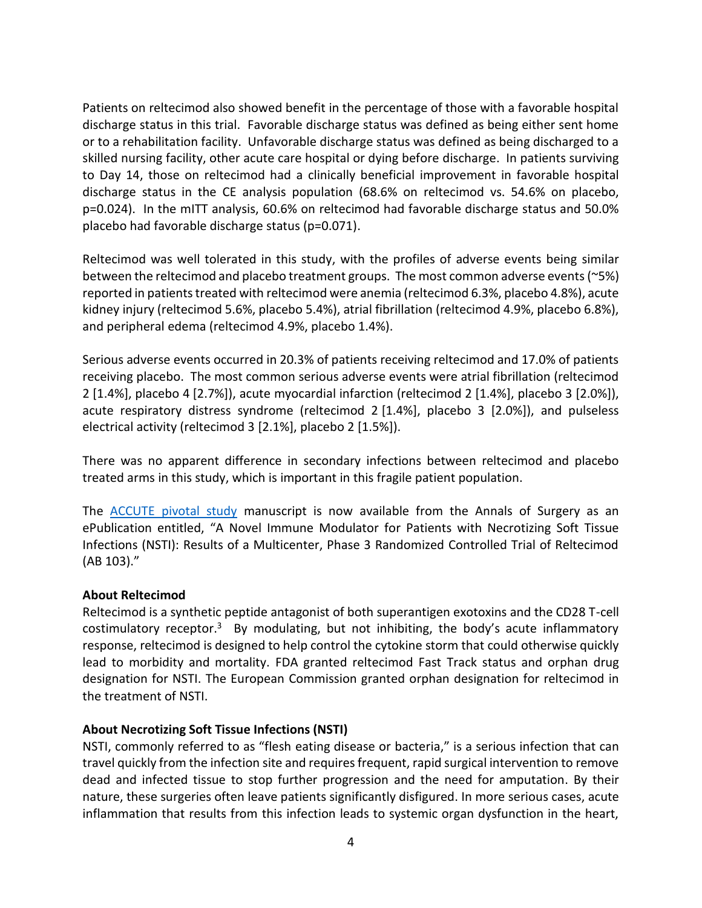Patients on reltecimod also showed benefit in the percentage of those with a favorable hospital discharge status in this trial. Favorable discharge status was defined as being either sent home or to a rehabilitation facility. Unfavorable discharge status was defined as being discharged to a skilled nursing facility, other acute care hospital or dying before discharge. In patients surviving to Day 14, those on reltecimod had a clinically beneficial improvement in favorable hospital discharge status in the CE analysis population (68.6% on reltecimod vs. 54.6% on placebo, p=0.024). In the mITT analysis, 60.6% on reltecimod had favorable discharge status and 50.0% placebo had favorable discharge status (p=0.071).

Reltecimod was well tolerated in this study, with the profiles of adverse events being similar between the reltecimod and placebo treatment groups. The most common adverse events(~5%) reported in patients treated with reltecimod were anemia (reltecimod 6.3%, placebo 4.8%), acute kidney injury (reltecimod 5.6%, placebo 5.4%), atrial fibrillation (reltecimod 4.9%, placebo 6.8%), and peripheral edema (reltecimod 4.9%, placebo 1.4%).

Serious adverse events occurred in 20.3% of patients receiving reltecimod and 17.0% of patients receiving placebo. The most common serious adverse events were atrial fibrillation (reltecimod 2 [1.4%], placebo 4 [2.7%]), acute myocardial infarction (reltecimod 2 [1.4%], placebo 3 [2.0%]), acute respiratory distress syndrome (reltecimod 2 [1.4%], placebo 3 [2.0%]), and pulseless electrical activity (reltecimod 3 [2.1%], placebo 2 [1.5%]).

There was no apparent difference in secondary infections between reltecimod and placebo treated arms in this study, which is important in this fragile patient population.

The [ACCUTE pivotal study](https://journals.lww.com/annalsofsurgery/Abstract/9000/A_Novel_Immune_Modulator_for_Patients_With.94376.aspx) manuscript is now available from the Annals of Surgery as an ePublication entitled, "A Novel Immune Modulator for Patients with Necrotizing Soft Tissue Infections (NSTI): Results of a Multicenter, Phase 3 Randomized Controlled Trial of Reltecimod (AB 103)."

### **About Reltecimod**

Reltecimod is a synthetic peptide antagonist of both superantigen exotoxins and the CD28 T-cell costimulatory receptor.<sup>3</sup> By modulating, but not inhibiting, the body's acute inflammatory response, reltecimod is designed to help control the cytokine storm that could otherwise quickly lead to morbidity and mortality. FDA granted reltecimod Fast Track status and orphan drug designation for NSTI. The European Commission granted orphan designation for reltecimod in the treatment of NSTI.

### **About Necrotizing Soft Tissue Infections (NSTI)**

NSTI, commonly referred to as "flesh eating disease or bacteria," is a serious infection that can travel quickly from the infection site and requires frequent, rapid surgical intervention to remove dead and infected tissue to stop further progression and the need for amputation. By their nature, these surgeries often leave patients significantly disfigured. In more serious cases, acute inflammation that results from this infection leads to systemic organ dysfunction in the heart,